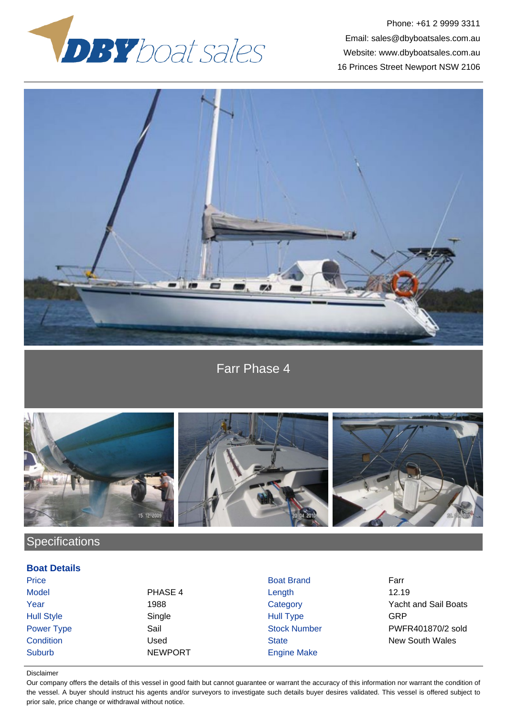

Phone: +61 2 9999 3311 Email: sales@dbyboatsales.com.au Website: www.dbyboatsales.com.au 16 Princes Street Newport NSW 2106



Farr Phase 4



# **Specifications**

### **Boat Details**

Suburb NEWPORT Engine Make

Price **Boat Brand Farrest Executive Boat Brand Farrest Earnest Price Farrest Earnest Price Farrest Earnest Price Farrest Earnest Price Farrest Earnest Price Farrest Price Farrest Price Farrest Price Farrest Price Farrest P** Model PHASE 4 Length 12.19 Hull Style Single Hull Type GRP

Year 1988 1988 Category Category Yacht and Sail Boats Power Type Sail Sail Sail Stock Number PWFR401870/2 sold **Condition** Condition Used Used State State New South Wales

#### Disclaimer

Our company offers the details of this vessel in good faith but cannot guarantee or warrant the accuracy of this information nor warrant the condition of the vessel. A buyer should instruct his agents and/or surveyors to investigate such details buyer desires validated. This vessel is offered subject to prior sale, price change or withdrawal without notice.